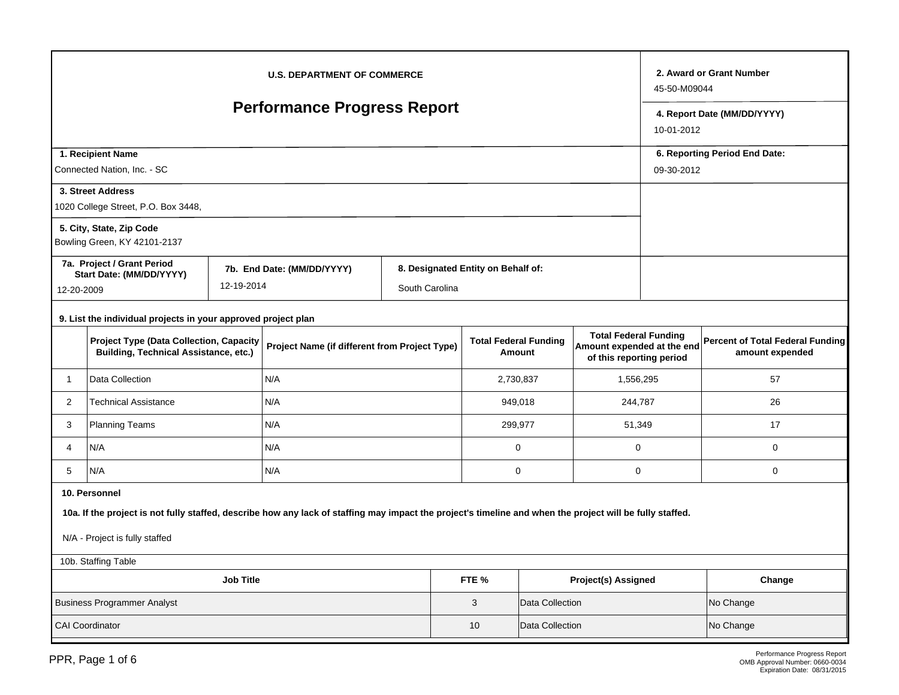| <b>U.S. DEPARTMENT OF COMMERCE</b><br><b>Performance Progress Report</b> |                                                                                                                                                                                                              |                                             |                            |                |  |                                    |                                        |                                                                                        |  | 2. Award or Grant Number<br>45-50-M09044                   |  |
|--------------------------------------------------------------------------|--------------------------------------------------------------------------------------------------------------------------------------------------------------------------------------------------------------|---------------------------------------------|----------------------------|----------------|--|------------------------------------|----------------------------------------|----------------------------------------------------------------------------------------|--|------------------------------------------------------------|--|
|                                                                          |                                                                                                                                                                                                              | 4. Report Date (MM/DD/YYYY)<br>10-01-2012   |                            |                |  |                                    |                                        |                                                                                        |  |                                                            |  |
|                                                                          | 1. Recipient Name<br>Connected Nation, Inc. - SC                                                                                                                                                             | 6. Reporting Period End Date:<br>09-30-2012 |                            |                |  |                                    |                                        |                                                                                        |  |                                                            |  |
|                                                                          | 3. Street Address<br>1020 College Street, P.O. Box 3448,                                                                                                                                                     |                                             |                            |                |  |                                    |                                        |                                                                                        |  |                                                            |  |
|                                                                          | 5. City, State, Zip Code<br>Bowling Green, KY 42101-2137                                                                                                                                                     |                                             |                            |                |  |                                    |                                        |                                                                                        |  |                                                            |  |
|                                                                          | 7a. Project / Grant Period<br>Start Date: (MM/DD/YYYY)                                                                                                                                                       | 12-19-2014                                  | 7b. End Date: (MM/DD/YYYY) | South Carolina |  | 8. Designated Entity on Behalf of: |                                        |                                                                                        |  |                                                            |  |
|                                                                          | 12-20-2009<br>9. List the individual projects in your approved project plan                                                                                                                                  |                                             |                            |                |  |                                    |                                        |                                                                                        |  |                                                            |  |
|                                                                          | <b>Project Type (Data Collection, Capacity</b><br>Project Name (if different from Project Type)<br><b>Building, Technical Assistance, etc.)</b>                                                              |                                             |                            |                |  |                                    | <b>Total Federal Funding</b><br>Amount | <b>Total Federal Funding</b><br>Amount expended at the end<br>of this reporting period |  | <b>Percent of Total Federal Funding</b><br>amount expended |  |
| $\mathbf{1}$                                                             | Data Collection                                                                                                                                                                                              |                                             | N/A                        |                |  |                                    | 2,730,837<br>1,556,295                 |                                                                                        |  | 57                                                         |  |
| $\overline{2}$                                                           | <b>Technical Assistance</b>                                                                                                                                                                                  |                                             | N/A                        |                |  |                                    | 949,018                                | 244,787                                                                                |  | 26                                                         |  |
| 3                                                                        | <b>Planning Teams</b>                                                                                                                                                                                        |                                             | N/A                        |                |  |                                    | 299,977<br>51,349                      |                                                                                        |  | 17                                                         |  |
| 4                                                                        | N/A                                                                                                                                                                                                          |                                             | N/A                        |                |  |                                    | $\mathbf 0$                            | $\mathbf 0$                                                                            |  | 0                                                          |  |
| 5                                                                        | N/A                                                                                                                                                                                                          |                                             | N/A                        |                |  |                                    | $\mathbf 0$                            | $\mathbf 0$                                                                            |  | 0                                                          |  |
|                                                                          | 10. Personnel<br>10a. If the project is not fully staffed, describe how any lack of staffing may impact the project's timeline and when the project will be fully staffed.<br>N/A - Project is fully staffed |                                             |                            |                |  |                                    |                                        |                                                                                        |  |                                                            |  |
|                                                                          | 10b. Staffing Table                                                                                                                                                                                          |                                             |                            |                |  |                                    |                                        |                                                                                        |  |                                                            |  |
| <b>Job Title</b><br>FTE %                                                |                                                                                                                                                                                                              |                                             |                            |                |  |                                    |                                        | Project(s) Assigned                                                                    |  | Change                                                     |  |
|                                                                          | <b>Business Programmer Analyst</b>                                                                                                                                                                           |                                             |                            |                |  | 3                                  | Data Collection                        |                                                                                        |  | No Change                                                  |  |
|                                                                          | <b>CAI Coordinator</b>                                                                                                                                                                                       |                                             |                            |                |  |                                    |                                        | Data Collection<br>No Change                                                           |  |                                                            |  |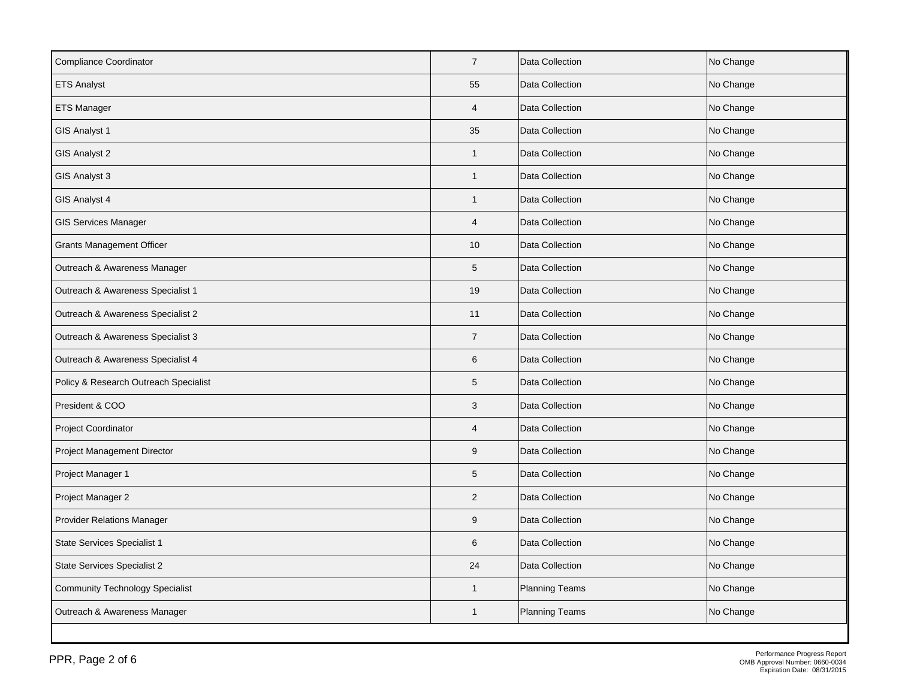| <b>Compliance Coordinator</b>          | $\overline{7}$  | Data Collection       | No Change |
|----------------------------------------|-----------------|-----------------------|-----------|
| <b>ETS Analyst</b>                     | 55              | Data Collection       | No Change |
| <b>ETS Manager</b>                     | $\overline{4}$  | Data Collection       | No Change |
| GIS Analyst 1                          | 35              | Data Collection       | No Change |
| GIS Analyst 2                          | $\mathbf{1}$    | Data Collection       | No Change |
| GIS Analyst 3                          | $\mathbf{1}$    | Data Collection       | No Change |
| GIS Analyst 4                          | $\mathbf{1}$    | Data Collection       | No Change |
| <b>GIS Services Manager</b>            | $\overline{4}$  | Data Collection       | No Change |
| <b>Grants Management Officer</b>       | 10              | Data Collection       | No Change |
| Outreach & Awareness Manager           | $5\phantom{.0}$ | Data Collection       | No Change |
| Outreach & Awareness Specialist 1      | 19              | Data Collection       | No Change |
| Outreach & Awareness Specialist 2      | 11              | Data Collection       | No Change |
| Outreach & Awareness Specialist 3      | $\overline{7}$  | Data Collection       | No Change |
| Outreach & Awareness Specialist 4      | 6               | Data Collection       | No Change |
| Policy & Research Outreach Specialist  | 5               | Data Collection       | No Change |
| President & COO                        | $\mathbf{3}$    | Data Collection       | No Change |
| Project Coordinator                    | $\overline{4}$  | Data Collection       | No Change |
| Project Management Director            | $9\,$           | Data Collection       | No Change |
| Project Manager 1                      | 5               | Data Collection       | No Change |
| Project Manager 2                      | $\overline{2}$  | Data Collection       | No Change |
| <b>Provider Relations Manager</b>      | 9               | Data Collection       | No Change |
| State Services Specialist 1            | 6               | Data Collection       | No Change |
| State Services Specialist 2            | 24              | Data Collection       | No Change |
| <b>Community Technology Specialist</b> | $\mathbf{1}$    | Planning Teams        | No Change |
| Outreach & Awareness Manager           | $\mathbf{1}$    | <b>Planning Teams</b> | No Change |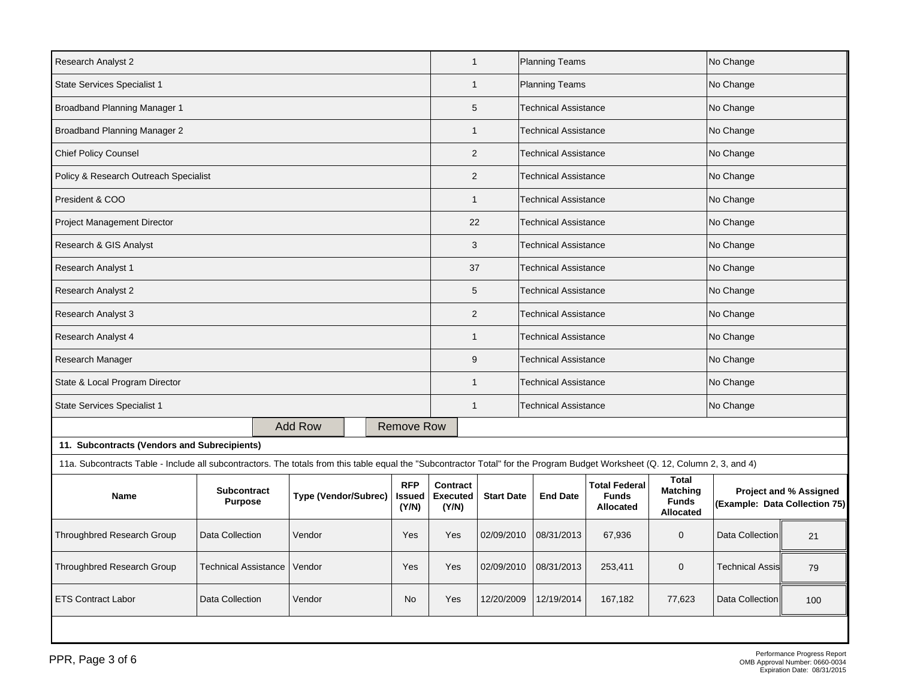| <b>ETS Contract Labor</b><br>Data Collection                                                                                                                                  |                 |   | Vendor                      |                             | No                                   | Yes                           | 12/20/2009        | 12/19/2014                  | 167,182                                                  | 77,623                                                              | Data Collection               | 100                           |
|-------------------------------------------------------------------------------------------------------------------------------------------------------------------------------|-----------------|---|-----------------------------|-----------------------------|--------------------------------------|-------------------------------|-------------------|-----------------------------|----------------------------------------------------------|---------------------------------------------------------------------|-------------------------------|-------------------------------|
| Throughbred Research Group<br>Technical Assistance                                                                                                                            |                 |   | Vendor                      |                             | Yes                                  | Yes                           | 02/09/2010        | 08/31/2013                  | 253,411                                                  | $\mathbf 0$                                                         | <b>Technical Assis</b>        | 79                            |
| Throughbred Research Group                                                                                                                                                    | Data Collection |   | Vendor<br>Yes               |                             |                                      | Yes                           | 02/09/2010        | 08/31/2013                  | 67,936                                                   | $\mathbf 0$                                                         | Data Collection               | 21                            |
| <b>Subcontract</b><br><b>Name</b><br><b>Purpose</b>                                                                                                                           |                 |   | <b>Type (Vendor/Subrec)</b> |                             | <b>RFP</b><br><b>Issued</b><br>(Y/N) | Contract<br>Executed<br>(Y/N) | <b>Start Date</b> | <b>End Date</b>             | <b>Total Federal</b><br><b>Funds</b><br><b>Allocated</b> | <b>Total</b><br><b>Matching</b><br><b>Funds</b><br><b>Allocated</b> | (Example: Data Collection 75) | <b>Project and % Assigned</b> |
| 11a. Subcontracts Table - Include all subcontractors. The totals from this table equal the "Subcontractor Total" for the Program Budget Worksheet (Q. 12, Column 2, 3, and 4) |                 |   |                             |                             |                                      |                               |                   |                             |                                                          |                                                                     |                               |                               |
| 11. Subcontracts (Vendors and Subrecipients)                                                                                                                                  |                 |   |                             |                             |                                      |                               |                   |                             |                                                          |                                                                     |                               |                               |
|                                                                                                                                                                               |                 |   | <b>Add Row</b>              |                             | <b>Remove Row</b>                    |                               |                   |                             |                                                          |                                                                     |                               |                               |
| State Services Specialist 1                                                                                                                                                   |                 |   |                             |                             |                                      | $\mathbf{1}$                  |                   | <b>Technical Assistance</b> |                                                          |                                                                     | No Change                     |                               |
| State & Local Program Director                                                                                                                                                |                 |   |                             |                             |                                      | $\mathbf{1}$                  |                   | <b>Technical Assistance</b> |                                                          |                                                                     | No Change                     |                               |
| Research Manager                                                                                                                                                              |                 |   |                             |                             |                                      | 9                             |                   | <b>Technical Assistance</b> |                                                          |                                                                     | No Change                     |                               |
| Research Analyst 4                                                                                                                                                            |                 |   |                             |                             |                                      | $\mathbf{1}$                  |                   | <b>Technical Assistance</b> |                                                          |                                                                     | No Change                     |                               |
| Research Analyst 3                                                                                                                                                            |                 |   |                             |                             |                                      | 2                             |                   | <b>Technical Assistance</b> |                                                          |                                                                     | No Change                     |                               |
| Research Analyst 2                                                                                                                                                            |                 |   |                             |                             |                                      | 5                             |                   | <b>Technical Assistance</b> |                                                          |                                                                     | No Change                     |                               |
| Research Analyst 1                                                                                                                                                            |                 |   |                             |                             |                                      | 37                            |                   | <b>Technical Assistance</b> |                                                          |                                                                     | No Change                     |                               |
| Research & GIS Analyst                                                                                                                                                        |                 |   |                             |                             |                                      | 3                             |                   | <b>Technical Assistance</b> |                                                          |                                                                     | No Change                     |                               |
| Project Management Director                                                                                                                                                   |                 |   |                             |                             |                                      | 22                            |                   | <b>Technical Assistance</b> |                                                          |                                                                     | No Change                     |                               |
| President & COO                                                                                                                                                               |                 |   |                             |                             |                                      | $\mathbf{1}$                  |                   | <b>Technical Assistance</b> |                                                          |                                                                     | No Change                     |                               |
| Policy & Research Outreach Specialist                                                                                                                                         |                 |   |                             |                             |                                      | 2                             |                   | <b>Technical Assistance</b> |                                                          |                                                                     | No Change                     |                               |
| <b>Chief Policy Counsel</b>                                                                                                                                                   |                 |   |                             |                             |                                      | $\overline{2}$                |                   | <b>Technical Assistance</b> |                                                          |                                                                     | No Change                     |                               |
| Broadband Planning Manager 2                                                                                                                                                  |                 |   |                             |                             |                                      | $\mathbf{1}$                  |                   | <b>Technical Assistance</b> |                                                          |                                                                     | No Change                     |                               |
| Broadband Planning Manager 1                                                                                                                                                  |                 | 5 |                             | <b>Technical Assistance</b> |                                      |                               | No Change         |                             |                                                          |                                                                     |                               |                               |
| <b>State Services Specialist 1</b>                                                                                                                                            |                 |   |                             |                             |                                      | $\mathbf{1}$                  |                   | <b>Planning Teams</b>       |                                                          |                                                                     | No Change                     |                               |
| Research Analyst 2                                                                                                                                                            |                 |   |                             |                             |                                      | $\mathbf{1}$                  |                   | Planning Teams              |                                                          |                                                                     | No Change                     |                               |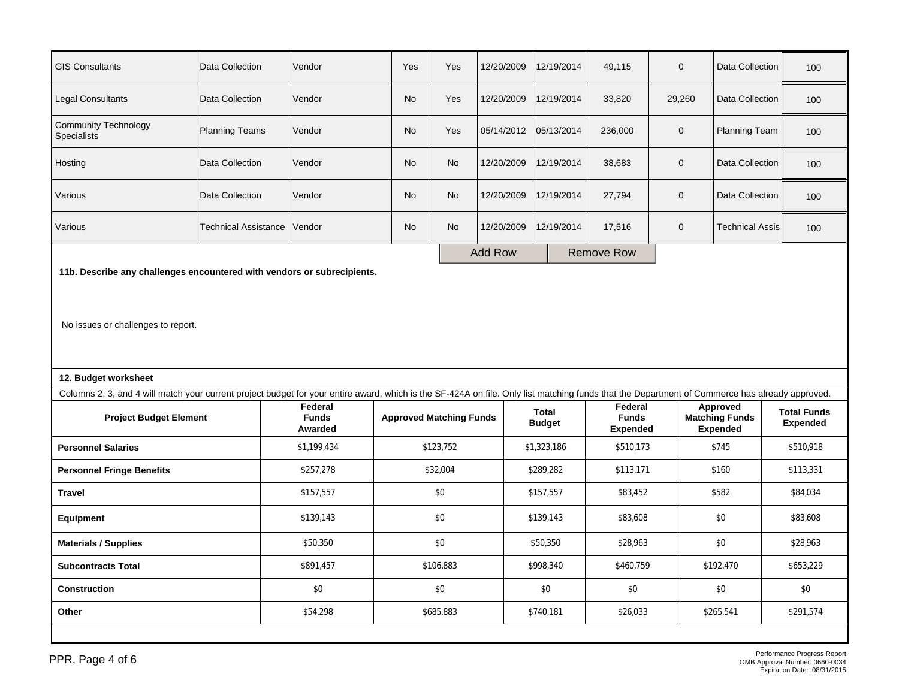| <b>GIS Consultants</b>                            | Data Collection       | Vendor | Yes       | Yes       | 12/20/2009     | 12/19/2014 | 49,115            | $\mathbf 0$ | Data Collection        | 100 |
|---------------------------------------------------|-----------------------|--------|-----------|-----------|----------------|------------|-------------------|-------------|------------------------|-----|
| <b>Legal Consultants</b>                          | Data Collection       | Vendor | <b>No</b> | Yes       | 12/20/2009     | 12/19/2014 | 33,820            | 29,260      | Data Collection        | 100 |
| <b>Community Technology</b><br><b>Specialists</b> | <b>Planning Teams</b> | Vendor | <b>No</b> | Yes       | 05/14/2012     | 05/13/2014 | 236,000           | $\mathbf 0$ | Planning Team          | 100 |
| Hosting                                           | Data Collection       | Vendor | <b>No</b> | <b>No</b> | 12/20/2009     | 12/19/2014 | 38,683            | $\mathbf 0$ | Data Collection        | 100 |
| Various                                           | Data Collection       | Vendor | <b>No</b> | <b>No</b> | 12/20/2009     | 12/19/2014 | 27,794            | $\mathbf 0$ | Data Collection        | 100 |
| Various                                           | Technical Assistance  | Vendor | <b>No</b> | No        | 12/20/2009     | 12/19/2014 | 17,516            | $\mathbf 0$ | <b>Technical Assis</b> | 100 |
|                                                   |                       |        |           |           | <b>Add Row</b> |            | <b>Remove Row</b> |             |                        |     |

**11b. Describe any challenges encountered with vendors or subrecipients.**

No issues or challenges to report.

## **12. Budget worksheet**

| Columns 2, 3, and 4 will match your current project budget for your entire award, which is the SF-424A on file. Only list matching funds that the Department of Commerce has already approved. |                                    |                                |                        |                                     |                                               |                                       |  |  |
|------------------------------------------------------------------------------------------------------------------------------------------------------------------------------------------------|------------------------------------|--------------------------------|------------------------|-------------------------------------|-----------------------------------------------|---------------------------------------|--|--|
| <b>Project Budget Element</b>                                                                                                                                                                  | Federal<br><b>Funds</b><br>Awarded | <b>Approved Matching Funds</b> | Total<br><b>Budget</b> | Federal<br>Funds<br><b>Expended</b> | Approved<br><b>Matching Funds</b><br>Expended | <b>Total Funds</b><br><b>Expended</b> |  |  |
| <b>Personnel Salaries</b>                                                                                                                                                                      | \$1,199,434                        | \$123,752                      | \$1,323,186            | \$510,173                           | \$745                                         | \$510,918                             |  |  |
| <b>Personnel Fringe Benefits</b>                                                                                                                                                               | \$257,278                          | \$32,004                       | \$289,282              | \$113,171                           | \$160                                         | \$113,331                             |  |  |
| <b>Travel</b>                                                                                                                                                                                  | \$157,557                          | \$0                            | \$157,557              | \$83,452                            | \$582                                         | \$84,034                              |  |  |
| Equipment                                                                                                                                                                                      | \$139,143                          | \$0                            | \$139,143              | \$83,608                            | \$0                                           | \$83,608                              |  |  |
| <b>Materials / Supplies</b>                                                                                                                                                                    | \$50,350                           | \$0                            | \$50,350               | \$28,963                            | \$0                                           | \$28,963                              |  |  |
| <b>Subcontracts Total</b>                                                                                                                                                                      | \$891,457                          | \$106,883                      | \$998,340              | \$460,759                           | \$192,470                                     | \$653,229                             |  |  |
| <b>Construction</b>                                                                                                                                                                            | \$0                                | \$0                            | \$0                    | \$0                                 | \$0                                           | \$0                                   |  |  |
| Other                                                                                                                                                                                          | \$54,298                           | \$685,883                      | \$740,181              | \$26,033                            | \$265,541                                     | \$291,574                             |  |  |
|                                                                                                                                                                                                |                                    |                                |                        |                                     |                                               |                                       |  |  |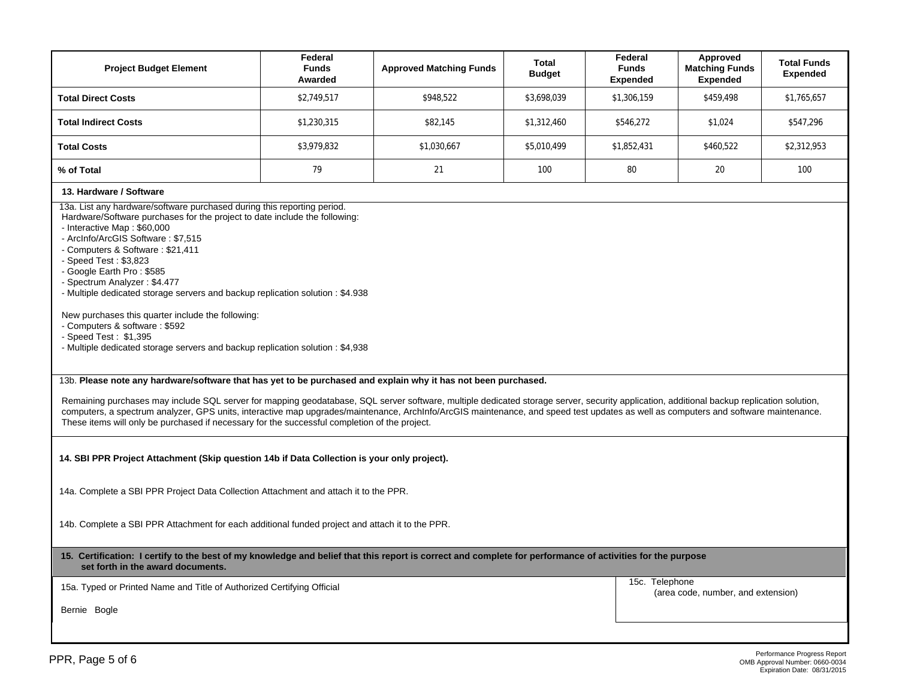| <b>Project Budget Element</b>                                                                                                                                                                                                                                                                                                                                                                                                                                                                                                                                | Federal<br><b>Funds</b><br>Awarded | <b>Approved Matching Funds</b> | <b>Total</b><br><b>Budget</b> | Federal<br><b>Funds</b><br><b>Expended</b> | Approved<br><b>Matching Funds</b><br><b>Expended</b> | <b>Total Funds</b><br><b>Expended</b> |  |  |  |  |
|--------------------------------------------------------------------------------------------------------------------------------------------------------------------------------------------------------------------------------------------------------------------------------------------------------------------------------------------------------------------------------------------------------------------------------------------------------------------------------------------------------------------------------------------------------------|------------------------------------|--------------------------------|-------------------------------|--------------------------------------------|------------------------------------------------------|---------------------------------------|--|--|--|--|
| <b>Total Direct Costs</b>                                                                                                                                                                                                                                                                                                                                                                                                                                                                                                                                    | \$2,749,517<br>\$948.522           |                                |                               | \$1,306,159                                | \$459,498                                            | \$1,765,657                           |  |  |  |  |
| <b>Total Indirect Costs</b>                                                                                                                                                                                                                                                                                                                                                                                                                                                                                                                                  | \$1,230,315                        | \$82,145                       | \$1,312,460                   | \$546.272                                  | \$1,024                                              | \$547,296                             |  |  |  |  |
| <b>Total Costs</b>                                                                                                                                                                                                                                                                                                                                                                                                                                                                                                                                           | \$3,979,832                        | \$1,030,667                    | \$5,010,499                   | \$1,852,431                                | \$460,522                                            | \$2,312,953                           |  |  |  |  |
| % of Total                                                                                                                                                                                                                                                                                                                                                                                                                                                                                                                                                   | 79                                 | 21                             | 100                           | 80                                         | 20                                                   | 100                                   |  |  |  |  |
| 13. Hardware / Software                                                                                                                                                                                                                                                                                                                                                                                                                                                                                                                                      |                                    |                                |                               |                                            |                                                      |                                       |  |  |  |  |
| Hardware/Software purchases for the project to date include the following:<br>- Interactive Map: \$60,000<br>- ArcInfo/ArcGIS Software: \$7.515<br>- Computers & Software: \$21,411<br>- Speed Test: \$3,823<br>- Google Earth Pro: \$585<br>- Spectrum Analyzer: \$4.477<br>- Multiple dedicated storage servers and backup replication solution : \$4.938<br>New purchases this quarter include the following:<br>- Computers & software: \$592<br>- Speed Test: \$1,395<br>- Multiple dedicated storage servers and backup replication solution : \$4,938 |                                    |                                |                               |                                            |                                                      |                                       |  |  |  |  |
| 13b. Please note any hardware/software that has yet to be purchased and explain why it has not been purchased.                                                                                                                                                                                                                                                                                                                                                                                                                                               |                                    |                                |                               |                                            |                                                      |                                       |  |  |  |  |
| Remaining purchases may include SQL server for mapping geodatabase, SQL server software, multiple dedicated storage server, security application, additional backup replication solution,<br>computers, a spectrum analyzer, GPS units, interactive map upgrades/maintenance, Archlnfo/ArcGIS maintenance, and speed test updates as well as computers and software maintenance.<br>These items will only be purchased if necessary for the successful completion of the project.                                                                            |                                    |                                |                               |                                            |                                                      |                                       |  |  |  |  |

**14. SBI PPR Project Attachment (Skip question 14b if Data Collection is your only project).** 

14a. Complete a SBI PPR Project Data Collection Attachment and attach it to the PPR.

14b. Complete a SBI PPR Attachment for each additional funded project and attach it to the PPR.

**15. Certification: I certify to the best of my knowledge and belief that this report is correct and complete for performance of activities for the purpose set forth in the award documents.** 

15a. Typed or Printed Name and Title of Authorized Certifying Official

15c. Telephone (area code, number, and extension)

Bernie Bogle